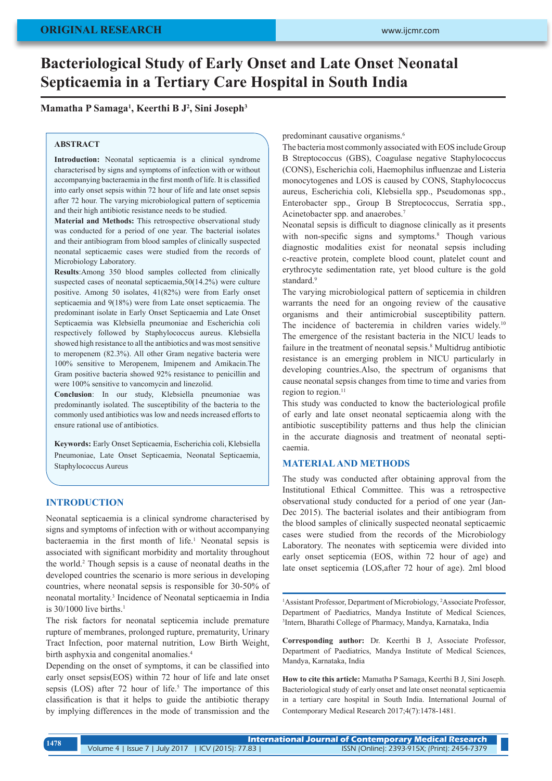# **Bacteriological Study of Early Onset and Late Onset Neonatal Septicaemia in a Tertiary Care Hospital in South India**

# **Mamatha P Samaga1 , Keerthi B J2 , Sini Joseph3**

#### **ABSTRACT**

**Introduction:** Neonatal septicaemia is a clinical syndrome characterised by signs and symptoms of infection with or without accompanying bacteraemia in the first month of life. It is classified into early onset sepsis within 72 hour of life and late onset sepsis after 72 hour. The varying microbiological pattern of septicemia and their high antibiotic resistance needs to be studied.

**Material and Methods:** This retrospective observational study was conducted for a period of one year. The bacterial isolates and their antibiogram from blood samples of clinically suspected neonatal septicaemic cases were studied from the records of Microbiology Laboratory.

**Results**:Among 350 blood samples collected from clinically suspected cases of neonatal septicaemia,50(14.2%) were culture positive. Among 50 isolates, 41(82%) were from Early onset septicaemia and 9(18%) were from Late onset septicaemia. The predominant isolate in Early Onset Septicaemia and Late Onset Septicaemia was Klebsiella pneumoniae and Escherichia coli respectively followed by Staphylococcus aureus. Klebsiella showed high resistance to all the antibiotics and was most sensitive to meropenem (82.3%). All other Gram negative bacteria were 100% sensitive to Meropenem, Imipenem and Amikacin.The Gram positive bacteria showed 92% resistance to penicillin and were 100% sensitive to vancomycin and linezolid.

**Conclusion**: In our study, Klebsiella pneumoniae was predominantly isolated. The susceptibility of the bacteria to the commonly used antibiotics was low and needs increased efforts to ensure rational use of antibiotics.

**Keywords:** Early Onset Septicaemia, Escherichia coli, Klebsiella Pneumoniae, Late Onset Septicaemia, Neonatal Septicaemia, Staphylococcus Aureus

## **INTRODUCTION**

Neonatal septicaemia is a clinical syndrome characterised by signs and symptoms of infection with or without accompanying bacteraemia in the first month of life.<sup>1</sup> Neonatal sepsis is associated with significant morbidity and mortality throughout the world.<sup>2</sup> Though sepsis is a cause of neonatal deaths in the developed countries the scenario is more serious in developing countries, where neonatal sepsis is responsible for 30-50% of neonatal mortality.<sup>3</sup> Incidence of Neonatal septicaemia in India is  $30/1000$  live births.<sup>1</sup>

The risk factors for neonatal septicemia include premature rupture of membranes, prolonged rupture, prematurity, Urinary Tract Infection, poor maternal nutrition, Low Birth Weight, birth asphyxia and congenital anomalies.<sup>4</sup>

Depending on the onset of symptoms, it can be classified into early onset sepsis(EOS) within 72 hour of life and late onset sepsis  $(LOS)$  after 72 hour of life.<sup>5</sup> The importance of this classification is that it helps to guide the antibiotic therapy by implying differences in the mode of transmission and the

predominant causative organisms.<sup>6</sup>

The bacteria most commonly associated with EOS include Group B Streptococcus (GBS), Coagulase negative Staphylococcus (CONS), Escherichia coli, Haemophilus influenzae and Listeria monocytogenes and LOS is caused by CONS, Staphylococcus aureus, Escherichia coli, Klebsiella spp., Pseudomonas spp., Enterobacter spp., Group B Streptococcus, Serratia spp., Acinetobacter spp. and anaerobes.<sup>7</sup>

Neonatal sepsis is difficult to diagnose clinically as it presents with non-specific signs and symptoms.<sup>8</sup> Though various diagnostic modalities exist for neonatal sepsis including c-reactive protein, complete blood count, platelet count and erythrocyte sedimentation rate, yet blood culture is the gold standard.<sup>9</sup>

The varying microbiological pattern of septicemia in children warrants the need for an ongoing review of the causative organisms and their antimicrobial susceptibility pattern. The incidence of bacteremia in children varies widely.<sup>10</sup> The emergence of the resistant bacteria in the NICU leads to failure in the treatment of neonatal sepsis.<sup>8</sup> Multidrug antibiotic resistance is an emerging problem in NICU particularly in developing countries.Also, the spectrum of organisms that cause neonatal sepsis changes from time to time and varies from region to region.<sup>11</sup>

This study was conducted to know the bacteriological profile of early and late onset neonatal septicaemia along with the antibiotic susceptibility patterns and thus help the clinician in the accurate diagnosis and treatment of neonatal septicaemia.

#### **MATERIAL AND METHODS**

The study was conducted after obtaining approval from the Institutional Ethical Committee. This was a retrospective observational study conducted for a period of one year (Jan-Dec 2015). The bacterial isolates and their antibiogram from the blood samples of clinically suspected neonatal septicaemic cases were studied from the records of the Microbiology Laboratory. The neonates with septicemia were divided into early onset septicemia (EOS, within 72 hour of age) and late onset septicemia (LOS,after 72 hour of age). 2ml blood

<sup>1</sup>Assistant Professor, Department of Microbiology, <sup>2</sup>Associate Professor, Department of Paediatrics, Mandya Institute of Medical Sciences, 3 Intern, Bharathi College of Pharmacy, Mandya, Karnataka, India

**Corresponding author:** Dr. Keerthi B J, Associate Professor, Department of Paediatrics, Mandya Institute of Medical Sciences, Mandya, Karnataka, India

**How to cite this article:** Mamatha P Samaga, Keerthi B J, Sini Joseph. Bacteriological study of early onset and late onset neonatal septicaemia in a tertiary care hospital in South India. International Journal of Contemporary Medical Research 2017;4(7):1478-1481.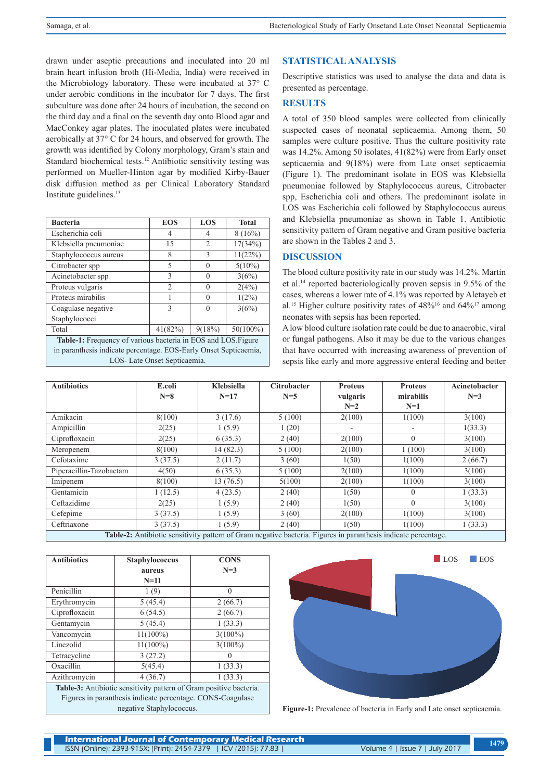drawn under aseptic precautions and inoculated into 20 ml brain heart infusion broth (Hi-Media, India) were received in the Microbiology laboratory. These were incubated at 37° C under aerobic conditions in the incubator for 7 days. The first subculture was done after 24 hours of incubation, the second on the third day and a final on the seventh day onto Blood agar and MacConkey agar plates. The inoculated plates were incubated aerobically at 37° C for 24 hours, and observed for growth. The growth was identified by Colony morphology, Gram's stain and Standard biochemical tests.<sup>12</sup> Antibiotic sensitivity testing was performed on Mueller-Hinton agar by modified Kirby-Bauer disk diffusion method as per Clinical Laboratory Standard Institute guidelines.<sup>13</sup>

| <b>Bacteria</b>                                                  | <b>EOS</b>   | LOS      | <b>Total</b> |  |  |
|------------------------------------------------------------------|--------------|----------|--------------|--|--|
| Escherichia coli                                                 | 4            | 4        | 8(16%)       |  |  |
| Klebsiella pneumoniae                                            | 15           | 2        | 17(34%)      |  |  |
| Staphylococcus aureus                                            | 8            | 3        | 11(22%)      |  |  |
| Citrobacter spp                                                  | 5            | $\Omega$ | $5(10\%)$    |  |  |
| Acinetobacter spp                                                | $\mathbf{3}$ | $\Omega$ | 3(6%)        |  |  |
| Proteus vulgaris                                                 | 2            | $\Omega$ | 2(4%)        |  |  |
| Proteus mirabilis                                                | 1            | $\Omega$ | $1(2\%)$     |  |  |
| Coagulase negative                                               | $\mathbf{3}$ | $\Omega$ | 3(6%)        |  |  |
| Staphylococci                                                    |              |          |              |  |  |
| Total                                                            | 41(82%)      | 9(18%)   | $50(100\%)$  |  |  |
| Table-1: Frequency of various bacteria in EOS and LOS. Figure    |              |          |              |  |  |
| in paranthesis indicate percentage. EOS-Early Onset Septicaemia, |              |          |              |  |  |
| LOS-Late Onset Septicaemia.                                      |              |          |              |  |  |

# **STATISTICAL ANALYSIS**

Descriptive statistics was used to analyse the data and data is presented as percentage.

## **RESULTS**

A total of 350 blood samples were collected from clinically suspected cases of neonatal septicaemia. Among them, 50 samples were culture positive. Thus the culture positivity rate was 14.2%. Among 50 isolates, 41(82%) were from Early onset septicaemia and 9(18%) were from Late onset septicaemia (Figure 1). The predominant isolate in EOS was Klebsiella pneumoniae followed by Staphylococcus aureus, Citrobacter spp, Escherichia coli and others. The predominant isolate in LOS was Escherichia coli followed by Staphylococcus aureus and Klebsiella pneumoniae as shown in Table 1. Antibiotic sensitivity pattern of Gram negative and Gram positive bacteria are shown in the Tables 2 and 3.

## **DISCUSSION**

The blood culture positivity rate in our study was 14.2%. Martin et al.<sup>14</sup> reported bacteriologically proven sepsis in 9.5% of the cases, whereas a lower rate of 4.1% was reported by Aletayeb et al.<sup>15</sup> Higher culture positivity rates of  $48\%$ <sup>16</sup> and  $64\%$ <sup>17</sup> among neonates with sepsis has been reported.

A low blood culture isolation rate could be due to anaerobic, viral or fungal pathogens. Also it may be due to the various changes that have occurred with increasing awareness of prevention of sepsis like early and more aggressive enteral feeding and better

| <b>Antibiotics</b>                                                                                             | E.coli  | Klebsiella | <b>Citrobacter</b> | <b>Proteus</b> | <b>Proteus</b> | Acinetobacter |
|----------------------------------------------------------------------------------------------------------------|---------|------------|--------------------|----------------|----------------|---------------|
|                                                                                                                | $N=8$   | $N=17$     | $N=5$              | vulgaris       | mirabilis      | $N=3$         |
|                                                                                                                |         |            |                    | $N=2$          | $N=1$          |               |
| Amikacin                                                                                                       | 8(100)  | 3(17.6)    | 5(100)             | 2(100)         | 1(100)         | 3(100)        |
| Ampicillin                                                                                                     | 2(25)   | 1(5.9)     | 1(20)              |                |                | 1(33.3)       |
| Ciprofloxacin                                                                                                  | 2(25)   | 6(35.3)    | 2(40)              | 2(100)         | $\theta$       | 3(100)        |
| Meropenem                                                                                                      | 8(100)  | 14(82.3)   | 5(100)             | 2(100)         | 1(100)         | 3(100)        |
| Cefotaxime                                                                                                     | 3(37.5) | 2(11.7)    | 3(60)              | 1(50)          | 1(100)         | 2(66.7)       |
| Piperacillin-Tazobactam                                                                                        | 4(50)   | 6(35.3)    | 5(100)             | 2(100)         | 1(100)         | 3(100)        |
| Imipenem                                                                                                       | 8(100)  | 13(76.5)   | 5(100)             | 2(100)         | 1(100)         | 3(100)        |
| Gentamicin                                                                                                     | 1(12.5) | 4(23.5)    | 2(40)              | 1(50)          | $\theta$       | 1(33.3)       |
| Ceftazidime                                                                                                    | 2(25)   | 1(5.9)     | 2(40)              | 1(50)          | $\Omega$       | 3(100)        |
| Cefepime                                                                                                       | 3(37.5) | 1(5.9)     | 3(60)              | 2(100)         | 1(100)         | 3(100)        |
| Ceftriaxone                                                                                                    | 3(37.5) | 1(5.9)     | 2(40)              | 1(50)          | 1(100)         | 1(33.3)       |
| Table-2: Antibiotic sensitivity pattern of Gram negative bacteria. Figures in paranthesis indicate percentage. |         |            |                    |                |                |               |

**Table-2:** Antibiotic sensitivity pattern of Gram negative bacteria. Figures in paranthesis indicate percentage.

| <b>Antibiotics</b>                                                 | <b>Staphylococcus</b> | <b>CONS</b> |  |  |
|--------------------------------------------------------------------|-----------------------|-------------|--|--|
|                                                                    | aureus                | $N=3$       |  |  |
|                                                                    | $N=11$                |             |  |  |
| Penicillin                                                         | 1(9)                  | 0           |  |  |
| Erythromycin                                                       | 5(45.4)               | 2(66.7)     |  |  |
| Ciprofloxacin                                                      | 6(54.5)               | 2(66.7)     |  |  |
| Gentamycin                                                         | 5(45.4)               | 1(33.3)     |  |  |
| Vancomycin                                                         | $11(100\%)$           | $3(100\%)$  |  |  |
| Linezolid                                                          | $11(100\%)$           | $3(100\%)$  |  |  |
| Tetracycline                                                       | 3(27.2)               |             |  |  |
| Oxacillin                                                          | 5(45.4)               | 1(33.3)     |  |  |
| Azithromycin                                                       | 4(36.7)               | 1(33.3)     |  |  |
| Table 3: Antibiotic sensitivity pattern of Gram positive bacteria. |                       |             |  |  |
| Figures in paranthesis indicate percentage. CONS-Coagulase         |                       |             |  |  |
| negative Staphylococcus.                                           |                       |             |  |  |



**Figure-1:** Prevalence of bacteria in Early and Late onset septicaemia.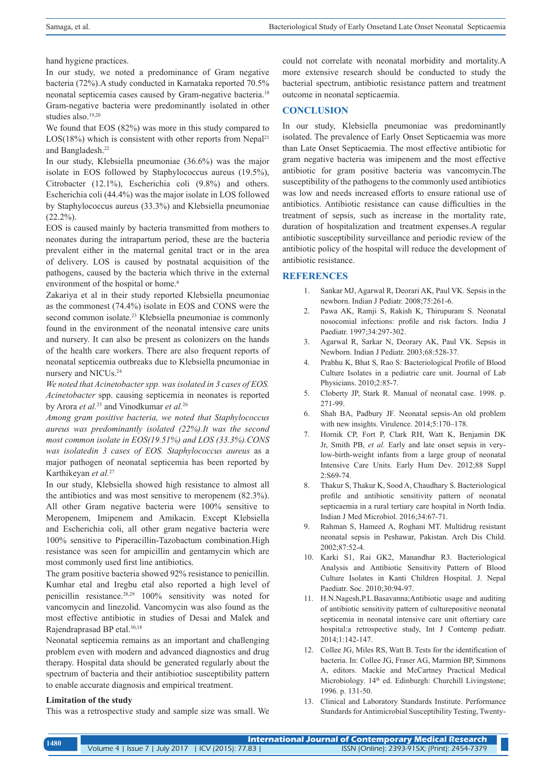hand hygiene practices.

In our study, we noted a predominance of Gram negative bacteria (72%).A study conducted in Karnataka reported 70.5% neonatal septicemia cases caused by Gram-negative bacteria.18 Gram-negative bacteria were predominantly isolated in other studies also.<sup>19,20</sup>

We found that EOS (82%) was more in this study compared to  $LOS(18%)$  which is consistent with other reports from Nepal<sup>21</sup> and Bangladesh.<sup>22</sup>

In our study, Klebsiella pneumoniae (36.6%) was the major isolate in EOS followed by Staphylococcus aureus (19.5%), Citrobacter (12.1%), Escherichia coli (9.8%) and others. Escherichia coli (44.4%) was the major isolate in LOS followed by Staphylococcus aureus (33.3%) and Klebsiella pneumoniae  $(22.2\%)$ .

EOS is caused mainly by bacteria transmitted from mothers to neonates during the intrapartum period, these are the bacteria prevalent either in the maternal genital tract or in the area of delivery. LOS is caused by postnatal acquisition of the pathogens, caused by the bacteria which thrive in the external environment of the hospital or home.<sup>6</sup>

Zakariya et al in their study reported Klebsiella pneumoniae as the commonest (74.4%) isolate in EOS and CONS were the second common isolate.<sup>23</sup> Klebsiella pneumoniae is commonly found in the environment of the neonatal intensive care units and nursery. It can also be present as colonizers on the hands of the health care workers. There are also frequent reports of neonatal septicemia outbreaks due to Klebsiella pneumoniae in nursery and NICUs.<sup>24</sup>

*We noted that Acinetobacter spp. was isolated in 3 cases of EOS. Acinetobacter* spp. causing septicemia in neonates is reported by Arora *et al.*<sup>25</sup> and Vinodkumar *et al.*<sup>26</sup>

*Among gram positive bacteria, we noted that Staphylococcus aureus was predominantly isolated (22%).It was the second most common isolate in EOS(19.51%) and LOS (33.3%).CONS was isolatedin 3 cases of EOS. Staphylococcus aureus* as a major pathogen of neonatal septicemia has been reported by Karthikeyan *et al.*<sup>27</sup>

In our study, Klebsiella showed high resistance to almost all the antibiotics and was most sensitive to meropenem (82.3%). All other Gram negative bacteria were 100% sensitive to Meropenem, Imipenem and Amikacin. Except Klebsiella and Escherichia coli, all other gram negative bacteria were 100% sensitive to Piperacillin-Tazobactum combination.High resistance was seen for ampicillin and gentamycin which are most commonly used first line antibiotics.

The gram positive bacteria showed 92% resistance to penicillin. Kumhar etal and Iregbu etal also reported a high level of penicillin resistance.28,29 100% sensitivity was noted for vancomycin and linezolid. Vancomycin was also found as the most effective antibiotic in studies of Desai and Malek and Rajendraprasad BP etal.30,18

Neonatal septicemia remains as an important and challenging problem even with modern and advanced diagnostics and drug therapy. Hospital data should be generated regularly about the spectrum of bacteria and their antibiotioc susceptibility pattern to enable accurate diagnosis and empirical treatment.

#### **Limitation of the study**

This was a retrospective study and sample size was small. We

could not correlate with neonatal morbidity and mortality.A more extensive research should be conducted to study the bacterial spectrum, antibiotic resistance pattern and treatment outcome in neonatal septicaemia.

## **CONCLUSION**

In our study, Klebsiella pneumoniae was predominantly isolated. The prevalence of Early Onset Septicaemia was more than Late Onset Septicaemia. The most effective antibiotic for gram negative bacteria was imipenem and the most effective antibiotic for gram positive bacteria was vancomycin.The susceptibility of the pathogens to the commonly used antibiotics was low and needs increased efforts to ensure rational use of antibiotics. Antibiotic resistance can cause difficulties in the treatment of sepsis, such as increase in the mortality rate, duration of hospitalization and treatment expenses.A regular antibiotic susceptibility surveillance and periodic review of the antibiotic policy of the hospital will reduce the development of antibiotic resistance.

## **REFERENCES**

- 1. Sankar MJ, Agarwal R, Deorari AK, Paul VK. Sepsis in the newborn. Indian J Pediatr. 2008;75:261-6.
- 2. Pawa AK, Ramji S, Rakish K, Thirupuram S. Neonatal nosocomial infections: profile and risk factors. India J Paediatr. 1997;34:297-302.
- 3. Agarwal R, Sarkar N, Deorary AK, Paul VK. Sepsis in Newborn. Indian J Pediatr. 2003;68:528-37.
- 4. Prabhu K, Bhat S, Rao S: Bacteriological Profile of Blood Culture Isolates in a pediatric care unit. Journal of Lab Physicians. 2010;2:85-7.
- 5. Cloberty JP, Stark R. Manual of neonatal case. 1998. p. 271-99.
- 6. Shah BA, Padbury JF. Neonatal sepsis-An old problem with new insights. Virulence. 2014;5:170–178.
- 7. Hornik CP, Fort P, Clark RH, Watt K, Benjamin DK Jr, Smith PB, *et al.* Early and late onset sepsis in verylow-birth-weight infants from a large group of neonatal Intensive Care Units. Early Hum Dev. 2012;88 Suppl 2:S69-74.
- 8. Thakur S, Thakur K, Sood A, Chaudhary S. Bacteriological profile and antibiotic sensitivity pattern of neonatal septicaemia in a rural tertiary care hospital in North India. Indian J Med Microbiol. 2016;34:67-71.
- 9. Rahman S, Hameed A, Roghani MT. Multidrug resistant neonatal sepsis in Peshawar, Pakistan. Arch Dis Child. 2002;87:52-4.
- 10. Karki S1, Rai GK2, Manandhar R3. Bacteriological Analysis and Antibiotic Sensitivity Pattern of Blood Culture Isolates in Kanti Children Hospital. J. Nepal Paediatr. Soc. 2010;30:94-97.
- 11. H.N.Nagesh,P.L.Basavanna;Antibiotic usage and auditing of antibiotic sensitivity pattern of culturepositive neonatal septicemia in neonatal intensive care unit oftertiary care hospital:a retrospective study, Int J Contemp pediatr. 2014;1:142-147.
- 12. Collee JG, Miles RS, Watt B. Tests for the identification of bacteria. In: Collee JG, Fraser AG, Marmion BP, Simmons A, editors. Mackie and McCartney Practical Medical Microbiology. 14<sup>th</sup> ed. Edinburgh: Churchill Livingstone; 1996. p. 131-50.
- 13. Clinical and Laboratory Standards Institute. Performance Standards for Antimicrobial Susceptibility Testing, Twenty-